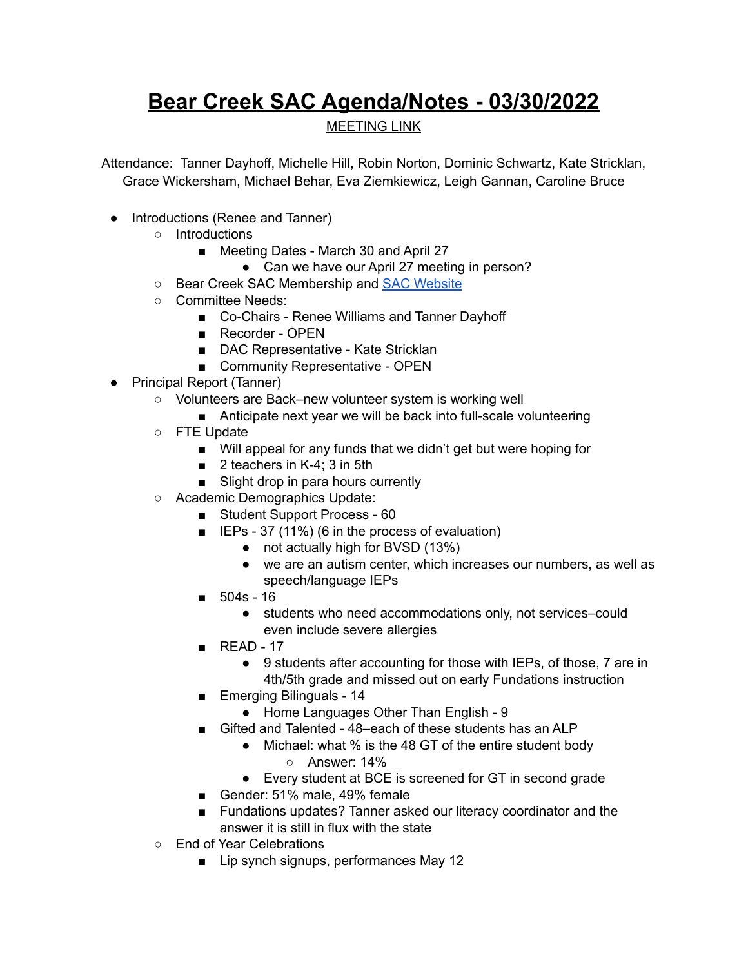## **Bear Creek SAC Agenda/Notes - 03/30/2022**

MEETING LINK

Attendance: Tanner Dayhoff, Michelle Hill, Robin Norton, Dominic Schwartz, Kate Stricklan, Grace Wickersham, Michael Behar, Eva Ziemkiewicz, Leigh Gannan, Caroline Bruce

- Introductions (Renee and Tanner)
	- Introductions
		- *■* Meeting Dates March 30 and April 27
			- Can we have our April 27 meeting in person?
	- Bear Creek SAC Membership and SAC [Website](https://bce.bvsd.org/about/school-accountability-committee-sac)
	- Committee Needs:
		- Co-Chairs Renee Williams and Tanner Dayhoff
			- Recorder OPEN
			- DAC Representative Kate Stricklan
			- Community Representative OPEN
- Principal Report (Tanner)
	- Volunteers are Back–new volunteer system is working well
		- Anticipate next year we will be back into full-scale volunteering
	- FTE Update
		- Will appeal for any funds that we didn't get but were hoping for
		- 2 teachers in K-4: 3 in 5th
		- Slight drop in para hours currently
	- Academic Demographics Update:
		- Student Support Process 60
		- IEPs 37 (11%) (6 in the process of evaluation)
			- not actually high for BVSD (13%)
			- we are an autism center, which increases our numbers, as well as speech/language IEPs
		- 504s 16
			- students who need accommodations only, not services–could even include severe allergies
		- READ 17
			- 9 students after accounting for those with IEPs, of those, 7 are in 4th/5th grade and missed out on early Fundations instruction
		- Emerging Bilinguals 14
			- Home Languages Other Than English 9
		- Gifted and Talented 48–each of these students has an ALP
			- Michael: what % is the 48 GT of the entire student body ○ Answer: 14%
			- Every student at BCE is screened for GT in second grade
		- Gender: 51% male, 49% female
		- Fundations updates? Tanner asked our literacy coordinator and the answer it is still in flux with the state
	- End of Year Celebrations
		- Lip synch signups, performances May 12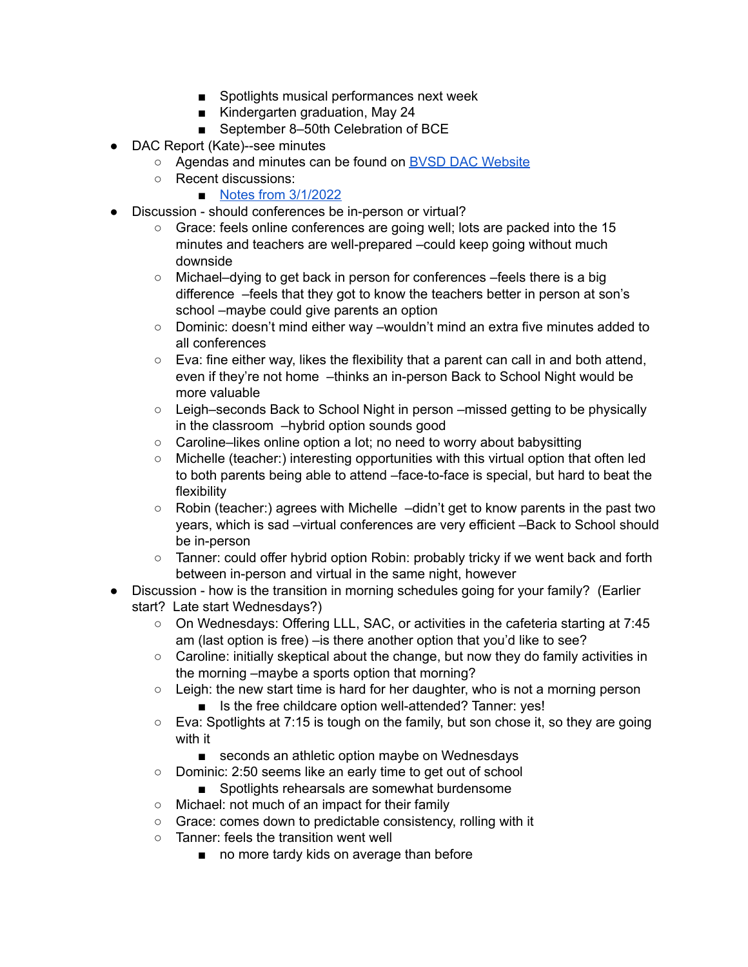- Spotlights musical performances next week
- Kindergarten graduation, May 24
- September 8–50th Celebration of BCE
- DAC Report (Kate)--see minutes
	- Agendas and minutes can be found on BVSD DAC [Website](https://www.bvsd.org/about/district-accountability-committee)
	- Recent discussions:
		- Notes from [3/1/2022](https://docs.google.com/document/d/1oXRDMpv_EkWWLWPHqLPhMmKS8v2xy58m7yaZIlL2m8o/edit?usp=sharing)
- Discussion should conferences be in-person or virtual?
	- Grace: feels online conferences are going well; lots are packed into the 15 minutes and teachers are well-prepared –could keep going without much downside
	- Michael–dying to get back in person for conferences –feels there is a big difference –feels that they got to know the teachers better in person at son's school –maybe could give parents an option
	- Dominic: doesn't mind either way –wouldn't mind an extra five minutes added to all conferences
	- Eva: fine either way, likes the flexibility that a parent can call in and both attend, even if they're not home -thinks an in-person Back to School Night would be more valuable
	- Leigh–seconds Back to School Night in person –missed getting to be physically in the classroom –hybrid option sounds good
	- Caroline–likes online option a lot; no need to worry about babysitting
	- Michelle (teacher:) interesting opportunities with this virtual option that often led to both parents being able to attend –face-to-face is special, but hard to beat the flexibility
	- Robin (teacher:) agrees with Michelle –didn't get to know parents in the past two years, which is sad –virtual conferences are very efficient –Back to School should be in-person
	- Tanner: could offer hybrid option Robin: probably tricky if we went back and forth between in-person and virtual in the same night, however
- Discussion how is the transition in morning schedules going for your family? (Earlier start? Late start Wednesdays?)
	- On Wednesdays: Offering LLL, SAC, or activities in the cafeteria starting at 7:45 am (last option is free) – is there another option that you'd like to see?
	- Caroline: initially skeptical about the change, but now they do family activities in the morning –maybe a sports option that morning?
	- Leigh: the new start time is hard for her daughter, who is not a morning person ■ Is the free childcare option well-attended? Tanner: yes!
	- Eva: Spotlights at 7:15 is tough on the family, but son chose it, so they are going with it
		- seconds an athletic option maybe on Wednesdays
	- Dominic: 2:50 seems like an early time to get out of school
		- Spotlights rehearsals are somewhat burdensome
	- Michael: not much of an impact for their family
	- Grace: comes down to predictable consistency, rolling with it
	- Tanner: feels the transition went well
		- no more tardy kids on average than before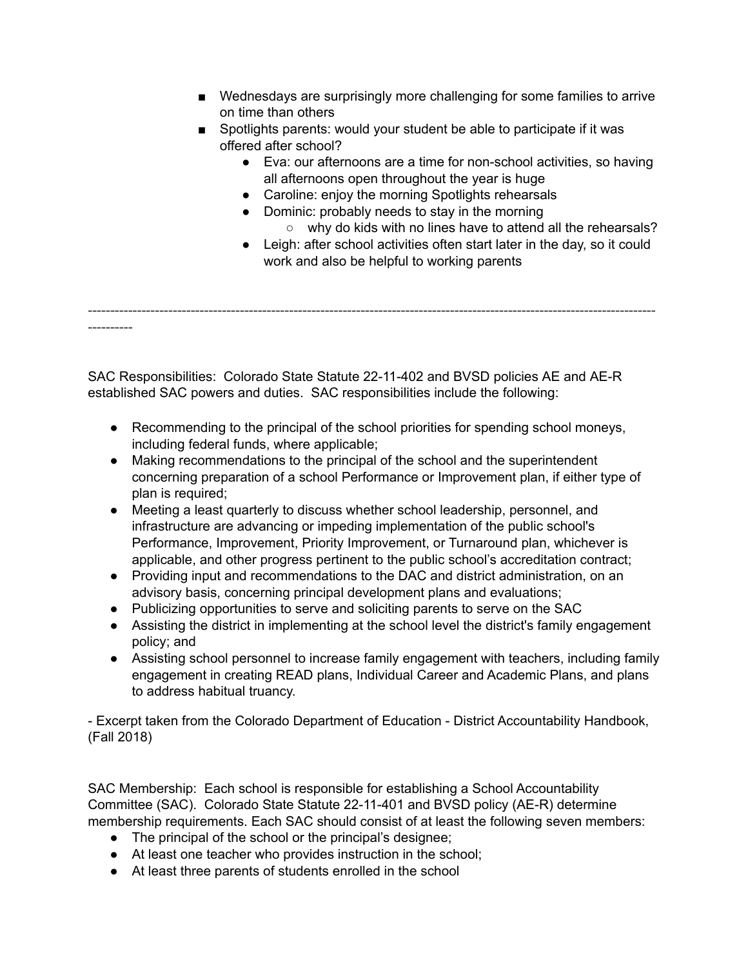- Wednesdays are surprisingly more challenging for some families to arrive on time than others
- Spotlights parents: would your student be able to participate if it was offered after school?
	- Eva: our afternoons are a time for non-school activities, so having all afternoons open throughout the year is huge
	- Caroline: enjoy the morning Spotlights rehearsals
	- Dominic: probably needs to stay in the morning
		- why do kids with no lines have to attend all the rehearsals?
	- Leigh: after school activities often start later in the day, so it could work and also be helpful to working parents

------------------------------------------------------------------------------------------------------------------------------- ----------

SAC Responsibilities: Colorado State Statute [22-11-402](http://www.lpdirect.net/casb/crs/22-11-402.html) and BVSD policies [AE](https://www.bvsd.org/about/board-of-education/policies/policy/~board/a-policies/post/ae-accountabilitycommitment-to-accomplishment) and [AE-R](https://www.bvsd.org/about/board-of-education/policies/policy/~board/a-policies/post/ae-r-accountabilitycommitment-to-accomplishment-regulation) established SAC powers and duties. SAC responsibilities include the following:

- Recommending to the principal of the school priorities for spending school moneys, including federal funds, where applicable;
- Making recommendations to the principal of the school and the superintendent concerning preparation of a school Performance or Improvement plan, if either type of plan is required;
- Meeting a least quarterly to discuss whether school leadership, personnel, and infrastructure are advancing or impeding implementation of the public school's Performance, Improvement, Priority Improvement, or Turnaround plan, whichever is applicable, and other progress pertinent to the public school's accreditation contract;
- Providing input and recommendations to the DAC and district administration, on an advisory basis, concerning principal development plans and evaluations;
- Publicizing opportunities to serve and soliciting parents to serve on the SAC
- Assisting the district in implementing at the school level the district's family engagement policy; and
- Assisting school personnel to increase family engagement with teachers, including family engagement in creating READ plans, Individual Career and Academic Plans, and plans to address habitual truancy.

- Excerpt taken from the Colorado Department of Education - District Accountability Handbook, (Fall 2018)

SAC Membership: Each school is responsible for establishing a School Accountability Committee (SAC). Colorado State Statute [22-11-401](http://www.lpdirect.net/casb/crs/22-11-401.html) and BVSD policy [\(AE-R](https://www.bvsd.org/about/board-of-education/policies/policy/~board/a-policies/post/ae-r-accountabilitycommitment-to-accomplishment-regulation)) determine membership requirements. Each SAC should consist of at least the following seven members:

- The principal of the school or the principal's designee;
- At least one teacher who provides instruction in the school;
- At least three parents of students enrolled in the school